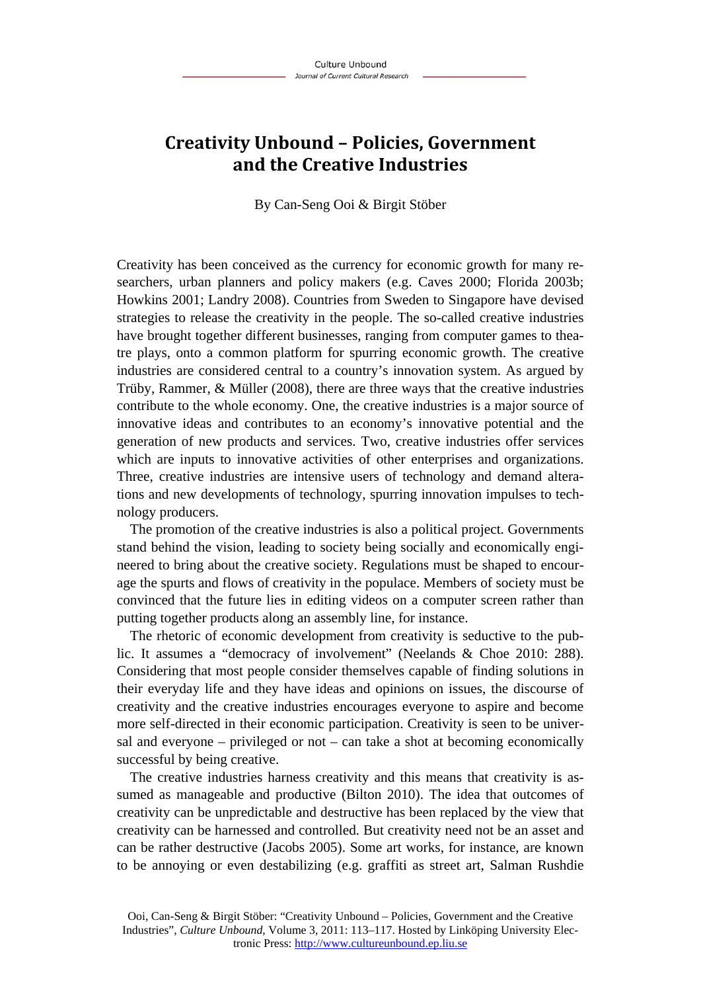## **Creativity Unbound – Policies, Government and the Creative Industries**

By Can-Seng Ooi & Birgit Stöber

Creativity has been conceived as the currency for economic growth for many researchers, urban planners and policy makers (e.g. Caves 2000; Florida 2003b; Howkins 2001; Landry 2008). Countries from Sweden to Singapore have devised strategies to release the creativity in the people. The so-called creative industries have brought together different businesses, ranging from computer games to theatre plays, onto a common platform for spurring economic growth. The creative industries are considered central to a country's innovation system. As argued by Trüby, Rammer, & Müller (2008), there are three ways that the creative industries contribute to the whole economy. One, the creative industries is a major source of innovative ideas and contributes to an economy's innovative potential and the generation of new products and services. Two, creative industries offer services which are inputs to innovative activities of other enterprises and organizations. Three, creative industries are intensive users of technology and demand alterations and new developments of technology, spurring innovation impulses to technology producers.

The promotion of the creative industries is also a political project. Governments stand behind the vision, leading to society being socially and economically engineered to bring about the creative society. Regulations must be shaped to encourage the spurts and flows of creativity in the populace. Members of society must be convinced that the future lies in editing videos on a computer screen rather than putting together products along an assembly line, for instance.

The rhetoric of economic development from creativity is seductive to the public. It assumes a "democracy of involvement" (Neelands & Choe 2010: 288). Considering that most people consider themselves capable of finding solutions in their everyday life and they have ideas and opinions on issues, the discourse of creativity and the creative industries encourages everyone to aspire and become more self-directed in their economic participation. Creativity is seen to be universal and everyone – privileged or not – can take a shot at becoming economically successful by being creative.

The creative industries harness creativity and this means that creativity is assumed as manageable and productive (Bilton 2010). The idea that outcomes of creativity can be unpredictable and destructive has been replaced by the view that creativity can be harnessed and controlled. But creativity need not be an asset and can be rather destructive (Jacobs 2005). Some art works, for instance, are known to be annoying or even destabilizing (e.g. graffiti as street art, Salman Rushdie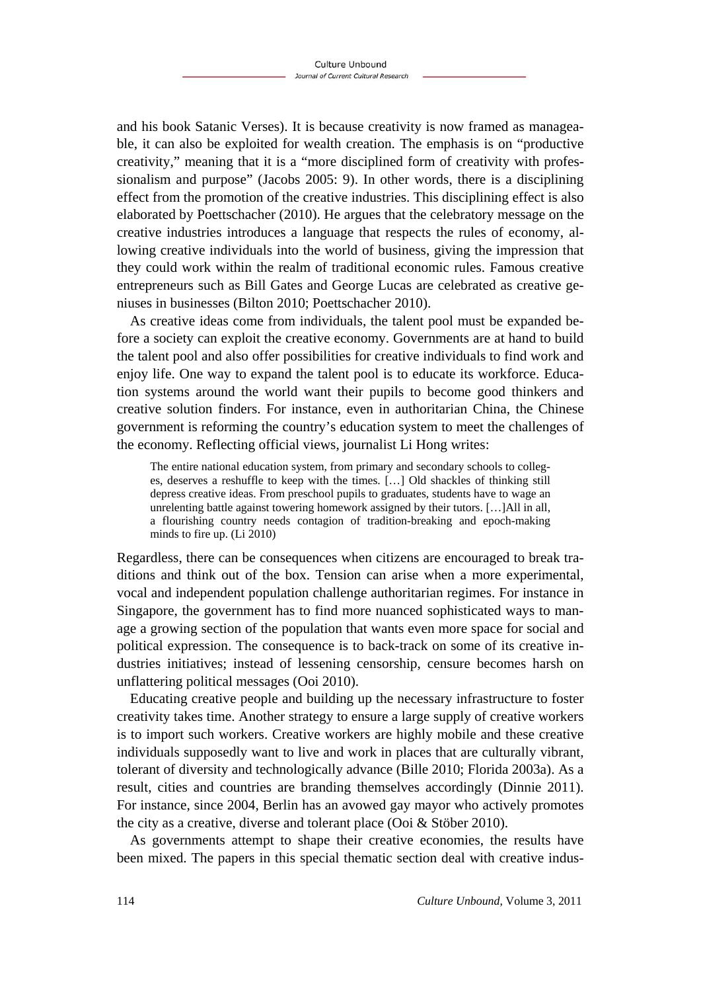and his book Satanic Verses). It is because creativity is now framed as manageable, it can also be exploited for wealth creation. The emphasis is on "productive creativity," meaning that it is a "more disciplined form of creativity with professionalism and purpose" (Jacobs 2005: 9). In other words, there is a disciplining effect from the promotion of the creative industries. This disciplining effect is also elaborated by Poettschacher (2010). He argues that the celebratory message on the creative industries introduces a language that respects the rules of economy, allowing creative individuals into the world of business, giving the impression that they could work within the realm of traditional economic rules. Famous creative entrepreneurs such as Bill Gates and George Lucas are celebrated as creative geniuses in businesses (Bilton 2010; Poettschacher 2010).

As creative ideas come from individuals, the talent pool must be expanded before a society can exploit the creative economy. Governments are at hand to build the talent pool and also offer possibilities for creative individuals to find work and enjoy life. One way to expand the talent pool is to educate its workforce. Education systems around the world want their pupils to become good thinkers and creative solution finders. For instance, even in authoritarian China, the Chinese government is reforming the country's education system to meet the challenges of the economy. Reflecting official views, journalist Li Hong writes:

The entire national education system, from primary and secondary schools to colleges, deserves a reshuffle to keep with the times. […] Old shackles of thinking still depress creative ideas. From preschool pupils to graduates, students have to wage an unrelenting battle against towering homework assigned by their tutors. […]All in all, a flourishing country needs contagion of tradition-breaking and epoch-making minds to fire up. (Li 2010)

Regardless, there can be consequences when citizens are encouraged to break traditions and think out of the box. Tension can arise when a more experimental, vocal and independent population challenge authoritarian regimes. For instance in Singapore, the government has to find more nuanced sophisticated ways to manage a growing section of the population that wants even more space for social and political expression. The consequence is to back-track on some of its creative industries initiatives; instead of lessening censorship, censure becomes harsh on unflattering political messages (Ooi 2010).

Educating creative people and building up the necessary infrastructure to foster creativity takes time. Another strategy to ensure a large supply of creative workers is to import such workers. Creative workers are highly mobile and these creative individuals supposedly want to live and work in places that are culturally vibrant, tolerant of diversity and technologically advance (Bille 2010; Florida 2003a). As a result, cities and countries are branding themselves accordingly (Dinnie 2011). For instance, since 2004, Berlin has an avowed gay mayor who actively promotes the city as a creative, diverse and tolerant place (Ooi & Stöber 2010).

As governments attempt to shape their creative economies, the results have been mixed. The papers in this special thematic section deal with creative indus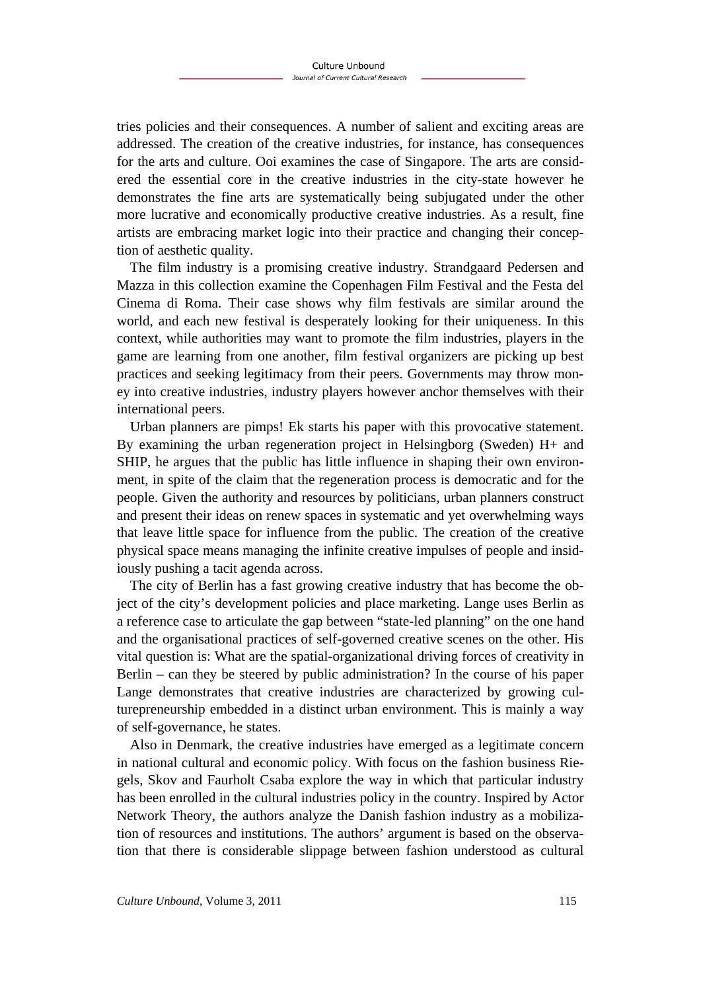tries policies and their consequences. A number of salient and exciting areas are addressed. The creation of the creative industries, for instance, has consequences for the arts and culture. Ooi examines the case of Singapore. The arts are considered the essential core in the creative industries in the city-state however he demonstrates the fine arts are systematically being subjugated under the other more lucrative and economically productive creative industries. As a result, fine artists are embracing market logic into their practice and changing their conception of aesthetic quality.

The film industry is a promising creative industry. Strandgaard Pedersen and Mazza in this collection examine the Copenhagen Film Festival and the Festa del Cinema di Roma. Their case shows why film festivals are similar around the world, and each new festival is desperately looking for their uniqueness. In this context, while authorities may want to promote the film industries, players in the game are learning from one another, film festival organizers are picking up best practices and seeking legitimacy from their peers. Governments may throw money into creative industries, industry players however anchor themselves with their international peers.

Urban planners are pimps! Ek starts his paper with this provocative statement. By examining the urban regeneration project in Helsingborg (Sweden) H+ and SHIP, he argues that the public has little influence in shaping their own environment, in spite of the claim that the regeneration process is democratic and for the people. Given the authority and resources by politicians, urban planners construct and present their ideas on renew spaces in systematic and yet overwhelming ways that leave little space for influence from the public. The creation of the creative physical space means managing the infinite creative impulses of people and insidiously pushing a tacit agenda across.

The city of Berlin has a fast growing creative industry that has become the object of the city's development policies and place marketing. Lange uses Berlin as a reference case to articulate the gap between "state-led planning" on the one hand and the organisational practices of self-governed creative scenes on the other. His vital question is: What are the spatial-organizational driving forces of creativity in Berlin – can they be steered by public administration? In the course of his paper Lange demonstrates that creative industries are characterized by growing culturepreneurship embedded in a distinct urban environment. This is mainly a way of self-governance, he states.

Also in Denmark, the creative industries have emerged as a legitimate concern in national cultural and economic policy. With focus on the fashion business Riegels, Skov and Faurholt Csaba explore the way in which that particular industry has been enrolled in the cultural industries policy in the country. Inspired by Actor Network Theory, the authors analyze the Danish fashion industry as a mobilization of resources and institutions. The authors' argument is based on the observation that there is considerable slippage between fashion understood as cultural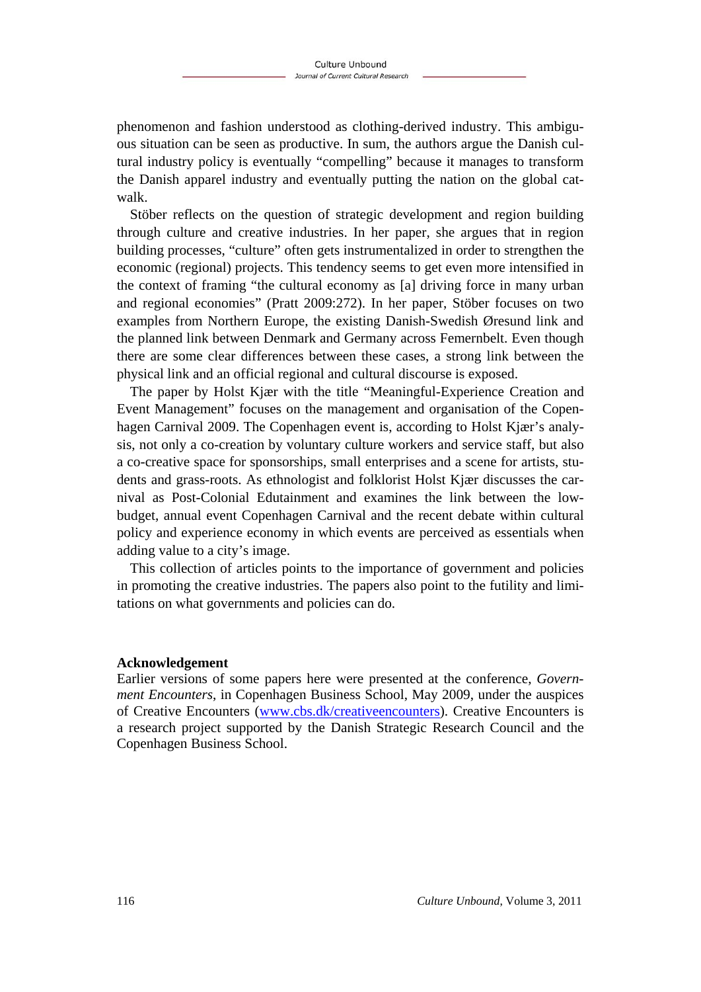phenomenon and fashion understood as clothing-derived industry. This ambiguous situation can be seen as productive. In sum, the authors argue the Danish cultural industry policy is eventually "compelling" because it manages to transform the Danish apparel industry and eventually putting the nation on the global catwalk.

Stöber reflects on the question of strategic development and region building through culture and creative industries. In her paper, she argues that in region building processes, "culture" often gets instrumentalized in order to strengthen the economic (regional) projects. This tendency seems to get even more intensified in the context of framing "the cultural economy as [a] driving force in many urban and regional economies" (Pratt 2009:272). In her paper, Stöber focuses on two examples from Northern Europe, the existing Danish-Swedish Øresund link and the planned link between Denmark and Germany across Femernbelt. Even though there are some clear differences between these cases, a strong link between the physical link and an official regional and cultural discourse is exposed.

The paper by Holst Kjær with the title "Meaningful-Experience Creation and Event Management" focuses on the management and organisation of the Copenhagen Carnival 2009. The Copenhagen event is, according to Holst Kjær's analysis, not only a co-creation by voluntary culture workers and service staff, but also a co-creative space for sponsorships, small enterprises and a scene for artists, students and grass-roots. As ethnologist and folklorist Holst Kjær discusses the carnival as Post-Colonial Edutainment and examines the link between the lowbudget, annual event Copenhagen Carnival and the recent debate within cultural policy and experience economy in which events are perceived as essentials when adding value to a city's image.

This collection of articles points to the importance of government and policies in promoting the creative industries. The papers also point to the futility and limitations on what governments and policies can do.

## **Acknowledgement**

Earlier versions of some papers here were presented at the conference, *Government Encounters*, in Copenhagen Business School, May 2009, under the auspices of Creative Encounters (www.cbs.dk/creativeencounters). Creative Encounters is a research project supported by the Danish Strategic Research Council and the Copenhagen Business School.